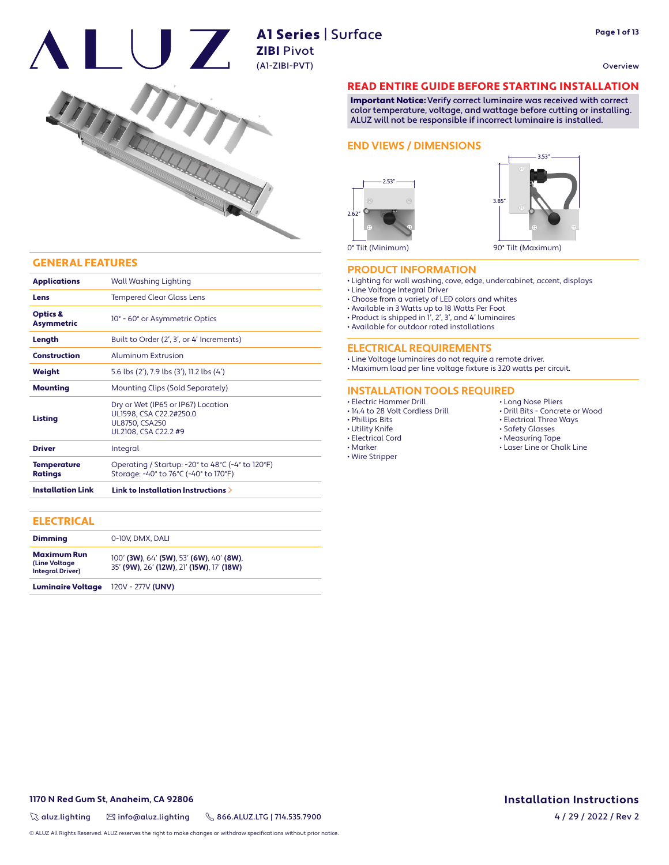#### Overview





# ZIBI Pivot (A1-ZIBI-PVT)



#### GENERAL FEATURES

| <b>Applications</b>                                                  | Wall Washing Lighting                                                                                                     |  |  |  |
|----------------------------------------------------------------------|---------------------------------------------------------------------------------------------------------------------------|--|--|--|
| <b>Tempered Clear Glass Lens</b><br>Lens                             |                                                                                                                           |  |  |  |
| Optics &<br><b>Asymmetric</b>                                        | 10° - 60° or Asymmetric Optics                                                                                            |  |  |  |
| Length                                                               | Built to Order (2', 3', or 4' Increments)                                                                                 |  |  |  |
| Construction                                                         | Aluminum Extrusion<br>5.6 lbs (2'), 7.9 lbs (3'), 11.2 lbs (4')                                                           |  |  |  |
| Weight                                                               |                                                                                                                           |  |  |  |
| <b>Mounting</b>                                                      | Mounting Clips (Sold Separately)                                                                                          |  |  |  |
| Listing                                                              | Dry or Wet (IP65 or IP67) Location<br>UL1598, CSA C22.2#250.0<br><b>UL8750, CSA250</b><br>UL2108, CSA C22.2 #9            |  |  |  |
| <b>Driver</b>                                                        | Integral                                                                                                                  |  |  |  |
| <b>Temperature</b><br><b>Ratings</b>                                 | Operating / Startup: $-20^\circ$ to $48^\circ$ C ( $-4^\circ$ to 120 $^\circ$ F)<br>Storage: -40° to 76°C (-40° to 170°F) |  |  |  |
| <b>Installation Link</b><br>Link to Installation Instructions $\geq$ |                                                                                                                           |  |  |  |

#### **ELECTRICAL**

| <b>Dimming</b>                                                  | 0-10V, DMX, DALI                                                                      |  |  |
|-----------------------------------------------------------------|---------------------------------------------------------------------------------------|--|--|
| <b>Maximum Run</b><br>(Line Voltage)<br><b>Integral Driver)</b> | 100' (3W), 64' (5W), 53' (6W), 40' (8W),<br>35' (9W), 26' (12W), 21' (15W), 17' (18W) |  |  |
| <b>Luminaire Voltage</b>                                        | 120V - 277V (UNV)                                                                     |  |  |

#### READ ENTIRE GUIDE BEFORE STARTING INSTALLATION

Important Notice: Verify correct luminaire was received with correct color temperature, voltage, and wattage before cutting or installing. ALUZ will not be responsible if incorrect luminaire is installed.

#### **END VIEWS / DIMENSIONS**





0° Tilt (Minimum)

#### **PRODUCT INFORMATION**

- Lighting for wall washing, cove, edge, undercabinet, accent, displays
- Line Voltage Integral Driver
- Choose from a variety of LED colors and whites
- Available in 3 Watts up to 18 Watts Per Foot
- Product is shipped in 1', 2', 3', and 4' luminaires
- Available for outdoor rated installations

#### **ELECTRICAL REQUIREMENTS**

• Line Voltage luminaires do not require a remote driver. • Maximum load per line voltage fixture is 320 watts per circuit.

**INSTALLATION TOOLS REQUIRED**

- Electric Hammer Drill
- 14.4 to 28 Volt Cordless Drill
- Phillips Bits
- Utility Knife
- Electrical Cord • Marker
- Wire Stripper
- Long Nose Pliers
- Drill Bits Concrete or Wood
- Electrical Three Ways
- Safety Glasses
- Measuring Tape
- Laser Line or Chalk Line

**1170 N Red Gum St, Anaheim, CA 92806 Installation Instructions**

 $\%$  aluz.lighting  $\%$  info@aluz.lighting  $\%$  866.ALUZ.LTG | 714.535.7900

© ALUZ All Rights Reserved. ALUZ reserves the right to make changes or withdraw specifications without prior notice.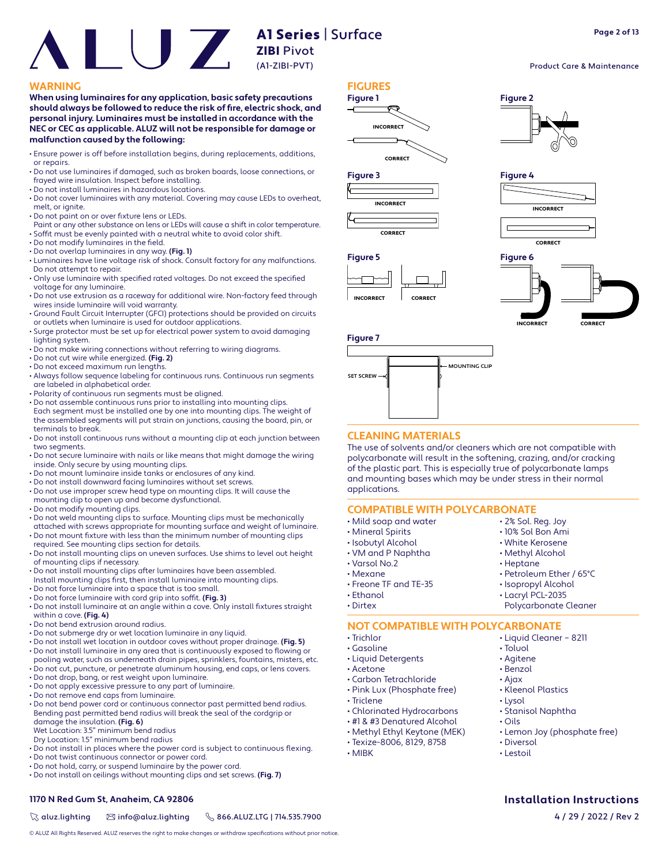#### **WARNING FIGURES**

**When using luminaires for any application, basic safety precautions**  should always be followed to reduce the risk of fire, electric shock, and **personal injury. Luminaires must be installed in accordance with the NEC or CEC as applicable. ALUZ will not be responsible for damage or malfunction caused by the following:**

- Ensure power is off before installation begins, during replacements, additions, or repairs.
- Do not use luminaires if damaged, such as broken boards, loose connections, or frayed wire insulation. Inspect before installing.
- Do not install luminaires in hazardous locations.
- Do not cover luminaires with any material. Covering may cause LEDs to overheat, melt, or ignite.
- Do not paint on or over fixture lens or LEDs.
- Paint or any other substance on lens or LEDs will cause a shift in color temperature. • Soffit must be evenly painted with a neutral white to avoid color shift.
- Do not modify luminaires in the field.
- Do not overlap luminaires in any way. **(Fig. 1)**
- Luminaires have line voltage risk of shock. Consult factory for any malfunctions. Do not attempt to repair.
- Only use luminaire with specified rated voltages. Do not exceed the specified voltage for any luminaire.
- Do not use extrusion as a raceway for additional wire. Non-factory feed through wires inside luminaire will void warranty.
- Ground Fault Circuit Interrupter (GFCI) protections should be provided on circuits or outlets when luminaire is used for outdoor applications.
- Surge protector must be set up for electrical power system to avoid damaging lighting system.
- Do not make wiring connections without referring to wiring diagrams. • Do not cut wire while energized. **(Fig. 2)**
- Do not exceed maximum run lengths.
- 
- Always follow sequence labeling for continuous runs. Continuous run segments are labeled in alphabetical order.
- Polarity of continuous run segments must be aligned.
- Do not assemble continuous runs prior to installing into mounting clips. Each segment must be installed one by one into mounting clips. The weight of the assembled segments will put strain on junctions, causing the board, pin, or terminals to break.
- Do not install continuous runs without a mounting clip at each junction between two segments.
- Do not secure luminaire with nails or like means that might damage the wiring inside. Only secure by using mounting clips.
- Do not mount luminaire inside tanks or enclosures of any kind.
- Do not install downward facing luminaires without set screws.
- Do not use improper screw head type on mounting clips. It will cause the mounting clip to open up and become dysfunctional.
- Do not modify mounting clips.
- Do not weld mounting clips to surface. Mounting clips must be mechanically attached with screws appropriate for mounting surface and weight of luminaire.
- Do not mount fixture with less than the minimum number of mounting clips required. See mounting clips section for details.
- Do not install mounting clips on uneven surfaces. Use shims to level out height of mounting clips if necessary.
- Do not install mounting clips after luminaires have been assembled.
- Install mounting clips first, then install luminaire into mounting clips. • Do not force luminaire into a space that is too small.
- Do not force luminaire with cord grip into soffit. (Fig. 3)
- Do not install luminaire at an angle within a cove. Only install fixtures straight within a cove. **(Fig. 4)**
- Do not bend extrusion around radius.
- Do not submerge dry or wet location luminaire in any liquid.
- Do not install wet location in outdoor coves without proper drainage. **(Fig. 5)**
- Do not install luminaire in any area that is continuously exposed to flowing or pooling water, such as underneath drain pipes, sprinklers, fountains, misters, etc.
- Do not cut, puncture, or penetrate aluminum housing, end caps, or lens covers. • Do not drop, bang, or rest weight upon luminaire.
- Do not apply excessive pressure to any part of luminaire.
- Do not remove end caps from luminaire.
- Do not bend power cord or continuous connector past permitted bend radius. Bending past permitted bend radius will break the seal of the cordgrip or damage the insulation. **(Fig. 6)** Wet Location: 3.5" minimum bend radius
- 
- Dry Location: 1.5" minimum bend radius
- Do not install in places where the power cord is subject to continuous flexing.
- Do not twist continuous connector or power cord.
- Do not hold, carry, or suspend luminaire by the power cord. • Do not install on ceilings without mounting clips and set screws. **(Fig. 7)**

### **1170 N Red Gum St, Anaheim, CA 92806 Installation Instructions**

 $\%$  aluz.lighting  $\%$  info@aluz.lighting  $\%$  866.ALUZ.LTG | 714.535.7900

© ALUZ All Rights Reserved. ALUZ reserves the right to make changes or withdraw specifications without prior notice.











#### **CLEANING MATERIALS**

The use of solvents and/or cleaners which are not compatible with polycarbonate will result in the softening, crazing, and/or cracking of the plastic part. This is especially true of polycarbonate lamps and mounting bases which may be under stress in their normal applications.

#### **COMPATIBLE WITH POLYCARBONATE**

- Mild soap and water
- Mineral Spirits
- Isobutyl Alcohol
- VM and P Naphtha
- Varsol No.2
- Mexane
- Freone TF and TE-35
- Ethanol
- Dirtex

• Isopropyl Alcohol • Lacryl PCL-2035

• 2% Sol. Reg. Joy • 10% Sol Bon Ami • White Kerosene • Methyl Alcohol • Heptane

Polycarbonate Cleaner

• Petroleum Ether / 65°C

## **NOT COMPATIBLE WITH POLYCARBONATE**

- Trichlor
- Gasoline
- Liquid Detergents
- Acetone
- Carbon Tetrachloride
- Pink Lux (Phosphate free)
- Triclene
- Chlorinated Hydrocarbons
- #1 & #3 Denatured Alcohol
- Methyl Ethyl Keytone (MEK)
- Texize-8006, 8129, 8758
- MIBK
- Lemon Joy (phosphate free) • Diversol
- Lestoil

**Page 2 of 13**

Product Care & Maintenance

**Figure 2**

**Figure 4**

- Liquid Cleaner 8211
	- Toluol
	- Agitene
	- Benzol
	- Ajax
	- Kleenol Plastics
	- Lysol
	- Stanisol Naphtha
	- Oils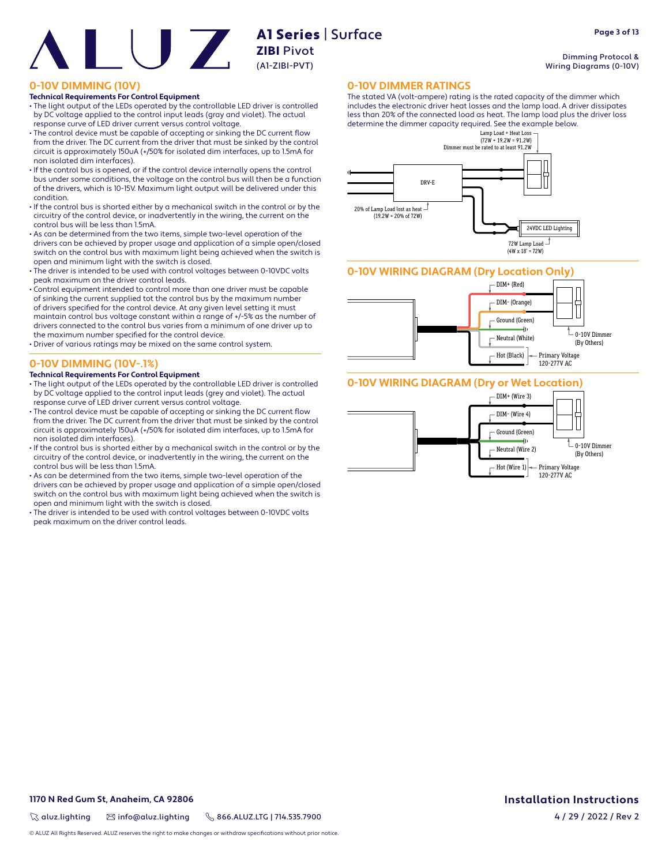A1 Series | Surface (A1-ZIBI-PVT)

# **ZIBI** Pivot

## **0-10V DIMMING (10V)**

#### **Technical Requirements For Control Equipment**

- The light output of the LEDs operated by the controllable LED driver is controlled by DC voltage applied to the control input leads (gray and violet). The actual response curve of LED driver current versus control voltage.
- The control device must be capable of accepting or sinking the DC current flow from the driver. The DC current from the driver that must be sinked by the control circuit is approximately 150uA (+/50% for isolated dim interfaces, up to 1.5mA for non isolated dim interfaces).
- If the control bus is opened, or if the control device internally opens the control bus under some conditions, the voltage on the control bus will then be a function of the drivers, which is 10-15V. Maximum light output will be delivered under this condition.
- If the control bus is shorted either by a mechanical switch in the control or by the circuitry of the control device, or inadvertently in the wiring, the current on the control bus will be less than 1.5mA.
- As can be determined from the two items, simple two-level operation of the drivers can be achieved by proper usage and application of a simple open/closed switch on the control bus with maximum light being achieved when the switch is open and minimum light with the switch is closed.
- The driver is intended to be used with control voltages between 0-10VDC volts peak maximum on the driver control leads.
- Control equipment intended to control more than one driver must be capable of sinking the current supplied tot the control bus by the maximum number of drivers specified for the control device. At any given level setting it must maintain control bus voltage constant within a range of +/-5% as the number of drivers connected to the control bus varies from a minimum of one driver up to the maximum number specified for the control device.
- Driver of various ratings may be mixed on the same control system.

#### **0-10V DIMMING (10V-.1%)**

#### **Technical Requirements For Control Equipment**

- The light output of the LEDs operated by the controllable LED driver is controlled by DC voltage applied to the control input leads (grey and violet). The actual response curve of LED driver current versus control voltage.
- The control device must be capable of accepting or sinking the DC current flow from the driver. The DC current from the driver that must be sinked by the control circuit is approximately 150uA (+/50% for isolated dim interfaces, up to 1.5mA for non isolated dim interfaces).
- If the control bus is shorted either by a mechanical switch in the control or by the circuitry of the control device, or inadvertently in the wiring, the current on the control bus will be less than 1.5mA.
- As can be determined from the two items, simple two-level operation of the drivers can be achieved by proper usage and application of a simple open/closed switch on the control bus with maximum light being achieved when the switch is open and minimum light with the switch is closed.
- The driver is intended to be used with control voltages between 0-10VDC volts peak maximum on the driver control leads.

#### **0-10V DIMMER RATINGS**

The stated VA (volt-ampere) rating is the rated capacity of the dimmer which includes the electronic driver heat losses and the lamp load. A driver dissipates less than 20% of the connected load as heat. The lamp load plus the driver loss determine the dimmer capacity required. See the example below.



#### **0-10V WIRING DIAGRAM (Dry Location Only)**



#### **0-10V WIRING DIAGRAM (Dry or Wet Location)**



Dimming Protocol & Wiring Diagrams (0-10V)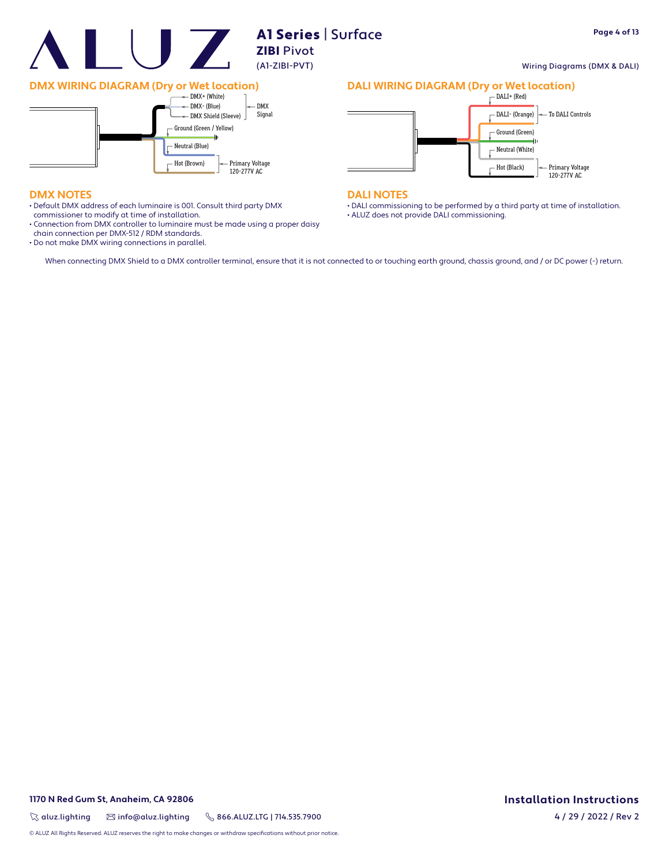

#### Wiring Diagrams (DMX & DALI)



#### **DMX NOTES**

- Default DMX address of each luminaire is 001. Consult third party DMX
- commissioner to modify at time of installation.
- Connection from DMX controller to luminaire must be made using a proper daisy chain connection per DMX-512 / RDM standards.

Hot (Brown)

Primary Voltage 120-277V AC

• Do not make DMX wiring connections in parallel.

## **DALI WIRING DIAGRAM (Dry or Wet location)**



#### **DALI NOTES**

• DALI commissioning to be performed by a third party at time of installation. • ALUZ does not provide DALI commissioning.

When connecting DMX Shield to a DMX controller terminal, ensure that it is not connected to or touching earth ground, chassis ground, and / or DC power (-) return.

**1170 N Red Gum St, Anaheim, CA 92806 Installation Instructions**

 $\%$  aluz.lighting  $\%$  info@aluz.lighting  $\%$  866.ALUZ.LTG | 714.535.7900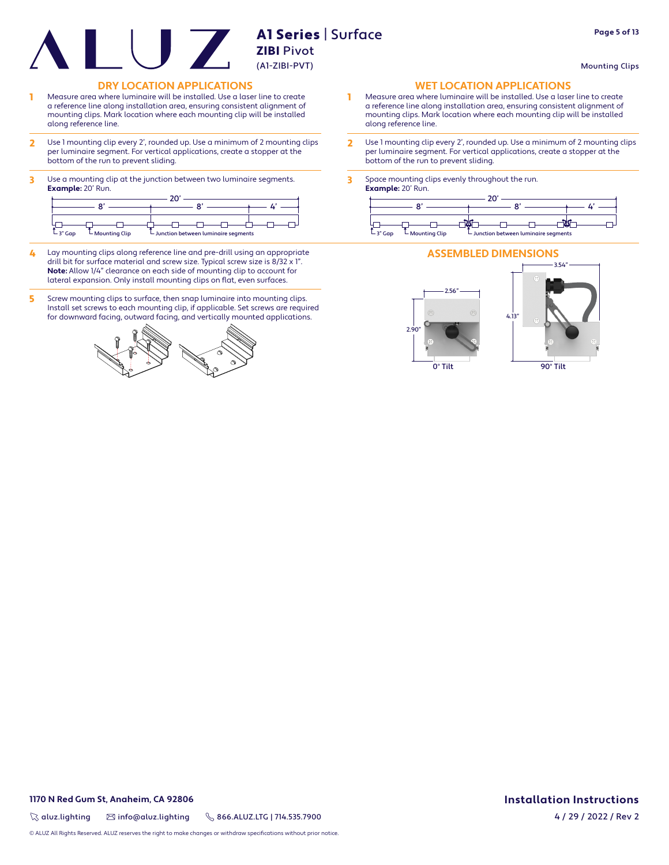- 1 Measure area where luminaire will be installed. Use a laser line to create a reference line along installation area, ensuring consistent alignment of mounting clips. Mark location where each mounting clip will be installed along reference line.
- 2 Use 1 mounting clip every 2', rounded up. Use a minimum of 2 mounting clips per luminaire segment. For vertical applications, create a stopper at the bottom of the run to prevent sliding.
- 3 Use a mounting clip at the junction between two luminaire segments. **Example:** 20' Run.

| $-3"Gap$<br>$L$ Mounting Clip | $\overline{\phantom{a}}$ Junction between luminaire segments |  | $-3"Gap$<br>– Mou |
|-------------------------------|--------------------------------------------------------------|--|-------------------|

- 4 Lay mounting clips along reference line and pre-drill using an appropriate drill bit for surface material and screw size. Typical screw size is 8/32 x 1". **Note:** Allow 1/4" clearance on each side of mounting clip to account for lateral expansion. Only install mounting clips on flat, even surfaces.
- 5 Screw mounting clips to surface, then snap luminaire into mounting clips. Install set screws to each mounting clip, if applicable. Set screws are required for downward facing, outward facing, and vertically mounted applications.



**DRY LOCATION APPLICATIONS WET LOCATION APPLICATIONS**

- 1 Measure area where luminaire will be installed. Use a laser line to create a reference line along installation area, ensuring consistent alignment of mounting clips. Mark location where each mounting clip will be installed along reference line.
- 2 Use 1 mounting clip every 2', rounded up. Use a minimum of 2 mounting clips per luminaire segment. For vertical applications, create a stopper at the bottom of the run to prevent sliding.
- 3 Space mounting clips evenly throughout the run. **Example:** 20' Run.





0° Tilt

2.90"

90° Tilt

Mounting Clips

 $\%$  aluz.lighting  $\%$  info@aluz.lighting  $\%$  866.ALUZ.LTG | 714.535.7900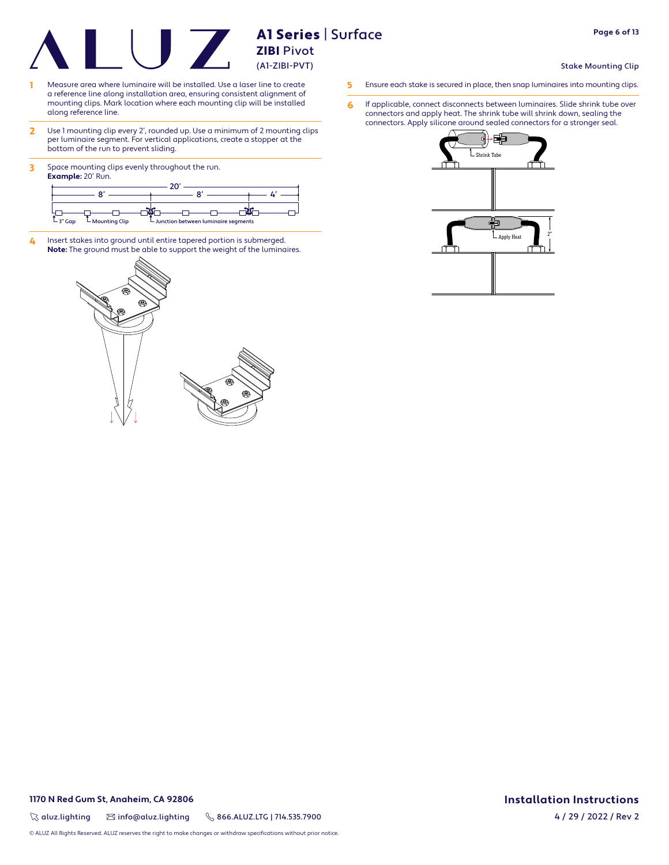- 1 Measure area where luminaire will be installed. Use a laser line to create a reference line along installation area, ensuring consistent alignment of mounting clips. Mark location where each mounting clip will be installed along reference line.
- 2 Use 1 mounting clip every 2', rounded up. Use a minimum of 2 mounting clips per luminaire segment. For vertical applications, create a stopper at the bottom of the run to prevent sliding.
- 3 Space mounting clips evenly throughout the run. **Example:** 20' Run.



4 Insert stakes into ground until entire tapered portion is submerged. **Note:** The ground must be able to support the weight of the luminaires.



**Page 6 of 13**

#### Stake Mounting Clip

- 5 Ensure each stake is secured in place, then snap luminaires into mounting clips.
- 6 If applicable, connect disconnects between luminaires. Slide shrink tube over connectors and apply heat. The shrink tube will shrink down, sealing the connectors. Apply silicone around sealed connectors for a stronger seal.



**1170 N Red Gum St, Anaheim, CA 92806 Installation Instructions**

 $\%$  aluz.lighting  $\%$  info@aluz.lighting  $\%$  866.ALUZ.LTG | 714.535.7900

© ALUZ All Rights Reserved. ALUZ reserves the right to make changes or withdraw specifications without prior notice.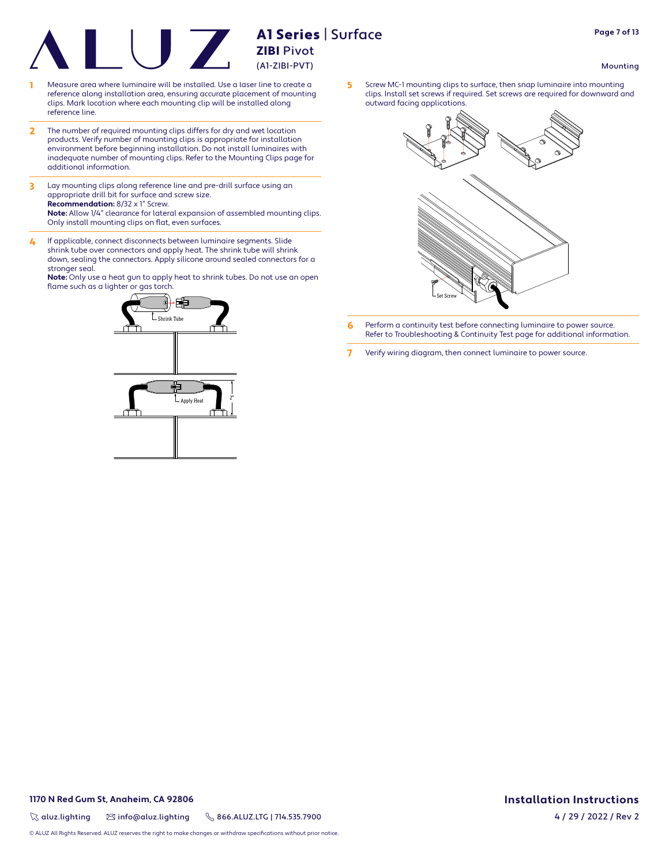- Measure area where luminaire will be installed. Use a laser line to create a reference along installation area, ensuring accurate placement of mounting clips. Mark location where each mounting clip will be installed along reference line.
- 2 The number of required mounting clips differs for dry and wet location products. Verify number of mounting clips is appropriate for installation environment before beginning installation. Do not install luminaires with inadequate number of mounting clips. Refer to the Mounting Clips page for additional information.
- 3 Lay mounting clips along reference line and pre-drill surface using an appropriate drill bit for surface and screw size. **Recommendation:** 8/32 x 1" Screw.

**Note:** Allow 1/4" clearance for lateral expansion of assembled mounting clips. Only install mounting clips on flat, even surfaces.

4 If applicable, connect disconnects between luminaire segments. Slide shrink tube over connectors and apply heat. The shrink tube will shrink down, sealing the connectors. Apply silicone around sealed connectors for a stronger seal.

**Note:** Only use a heat gun to apply heat to shrink tubes. Do not use an open flame such as a lighter or gas torch.



5 Screw MC-1 mounting clips to surface, then snap luminaire into mounting clips. Install set screws if required. Set screws are required for downward and outward facing applications.



- **6** Perform a continuity test before connecting luminaire to power source. Refer to Troubleshooting & Continuity Test page for additional information.
- 7 Verify wiring diagram, then connect luminaire to power source.

Mounting

 $\%$  aluz.lighting  $\%$  info@aluz.lighting  $\%$  866.ALUZ.LTG | 714.535.7900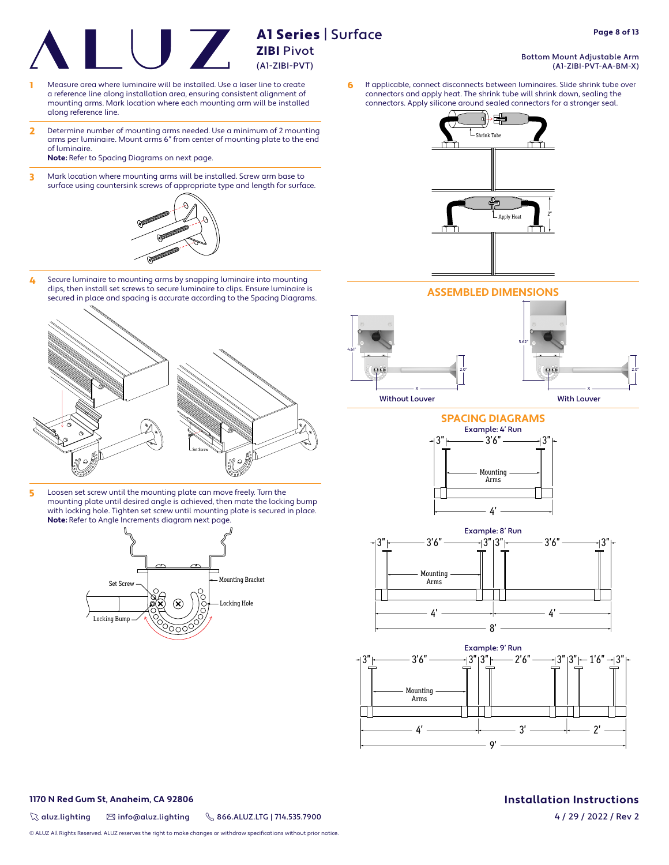- 1 Measure area where luminaire will be installed. Use a laser line to create a reference line along installation area, ensuring consistent alignment of mounting arms. Mark location where each mounting arm will be installed along reference line.
- 2 Determine number of mounting arms needed. Use a minimum of 2 mounting arms per luminaire. Mount arms 6" from center of mounting plate to the end of luminaire.

**Note:** Refer to Spacing Diagrams on next page.

3 Mark location where mounting arms will be installed. Screw arm base to surface using countersink screws of appropriate type and length for surface.



4 Secure luminaire to mounting arms by snapping luminaire into mounting clips, then install set screws to secure luminaire to clips. Ensure luminaire is secured in place and spacing is accurate according to the Spacing Diagrams.



5 Loosen set screw until the mounting plate can move freely. Turn the mounting plate until desired angle is achieved, then mate the locking bump with locking hole. Tighten set screw until mounting plate is secured in place. **Note:** Refer to Angle Increments diagram next page.





**ASSEMBLED DIMENSIONS**



## **SPACING DIAGRAMS** Example: 4' Run







#### **1170 N Red Gum St, Anaheim, CA 92806 Installation Instructions**

 $\%$  aluz.lighting  $\%$  info@aluz.lighting  $\%$  866.ALUZ.LTG | 714.535.7900

© ALUZ All Rights Reserved. ALUZ reserves the right to make changes or withdraw specifications without prior notice.

4 / 29 / 2022 / Rev 2

Bottom Mount Adjustable Arm (A1-ZIBI-PVT-AA-BM-X)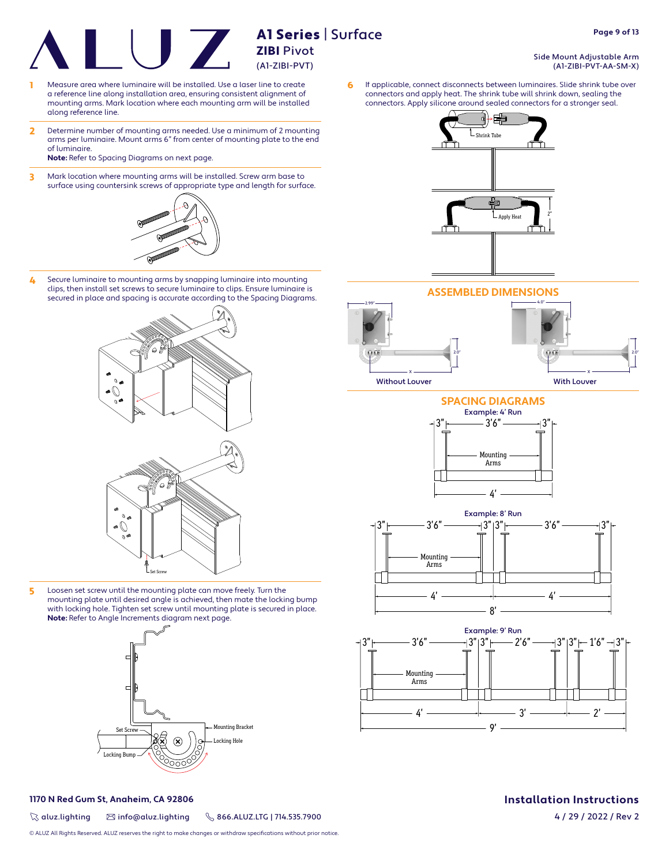- 1 Measure area where luminaire will be installed. Use a laser line to create a reference line along installation area, ensuring consistent alignment of mounting arms. Mark location where each mounting arm will be installed along reference line.
- 2 Determine number of mounting arms needed. Use a minimum of 2 mounting arms per luminaire. Mount arms 6" from center of mounting plate to the end of luminaire.
	- **Note:** Refer to Spacing Diagrams on next page.
- 3 Mark location where mounting arms will be installed. Screw arm base to surface using countersink screws of appropriate type and length for surface.



4 Secure luminaire to mounting arms by snapping luminaire into mounting clips, then install set screws to secure luminaire to clips. Ensure luminaire is secured in place and spacing is accurate according to the Spacing Diagrams.



5 Loosen set screw until the mounting plate can move freely. Turn the mounting plate until desired angle is achieved, then mate the locking bump with locking hole. Tighten set screw until mounting plate is secured in place. **Note:** Refer to Angle Increments diagram next page.



 $\%$  aluz.lighting  $\%$  info@aluz.lighting  $\%$  866.ALUZ.LTG | 714.535.7900

© ALUZ All Rights Reserved. ALUZ reserves the right to make changes or withdraw specifications without prior notice.

#### Side Mount Adjustable Arm (A1-ZIBI-PVT-AA-SM-X)

6 If applicable, connect disconnects between luminaires. Slide shrink tube over connectors and apply heat. The shrink tube will shrink down, sealing the connectors. Apply silicone around sealed connectors for a stronger seal.



**ASSEMBLED DIMENSIONS**



**SPACING DIAGRAMS**  $4'$ - 3'6" -Mounting Arms Example: 4' Run





# **1170 N Red Gum St, Anaheim, CA 92806 Installation Instructions**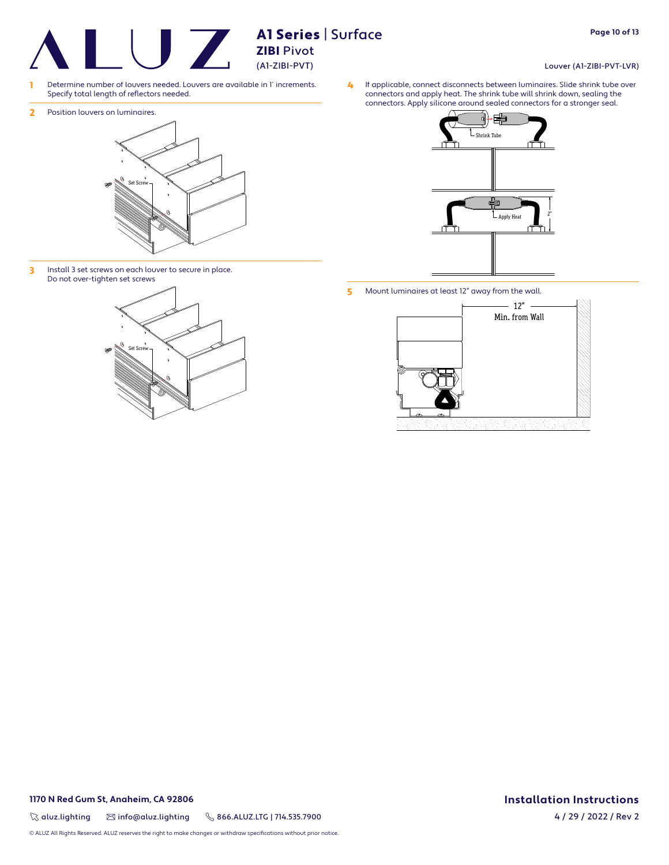- 1 Determine number of louvers needed. Louvers are available in 1' increments. Specify total length of reflectors needed.
- 2 Position louvers on luminaires.



3 Install 3 set screws on each louver to secure in place. Do not over-tighten set screws



- 몸 Shrink Apply He
- 5 Mount luminaires at least 12" away from the wall.



 $\%$  aluz.lighting  $\%$  info@aluz.lighting  $\%$  866.ALUZ.LTG | 714.535.7900

© ALUZ All Rights Reserved. ALUZ reserves the right to make changes or withdraw specifications without prior notice.

#### Louver (A1-ZIBI-PVT-LVR)

4 If applicable, connect disconnects between luminaires. Slide shrink tube over connectors and apply heat. The shrink tube will shrink down, sealing the connectors. Apply silicone around sealed connectors for a stronger seal.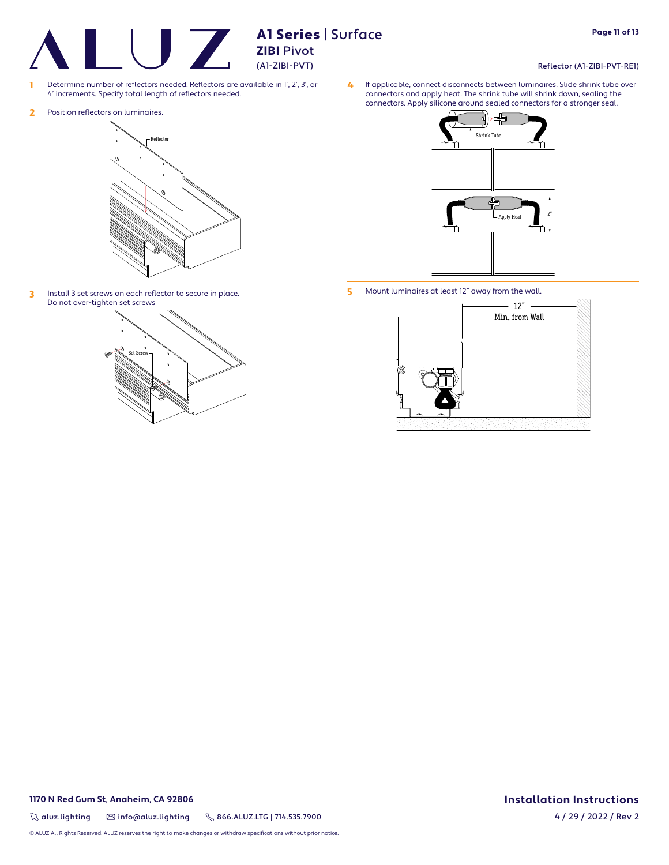## ZIBI Pivot (A1-ZIBI-PVT)

A1 Series | Surface

- 1 Determine number of reflectors needed. Reflectors are available in 1', 2', 3', or 4' increments. Specify total length of reflectors needed.
- 2 Position reflectors on luminaires.



3 Install 3 set screws on each reflector to secure in place. Do not over-tighten set screws





5 Mount luminaires at least 12" away from the wall.



#### **1170 N Red Gum St, Anaheim, CA 92806 Installation Instructions**

 $\%$  aluz.lighting  $\%$  info@aluz.lighting  $\%$  866.ALUZ.LTG | 714.535.7900

© ALUZ All Rights Reserved. ALUZ reserves the right to make changes or withdraw specifications without prior notice.

#### Reflector (A1-ZIBI-PVT-RE1)

4 If applicable, connect disconnects between luminaires. Slide shrink tube over connectors and apply heat. The shrink tube will shrink down, sealing the connectors. Apply silicone around sealed connectors for a stronger seal.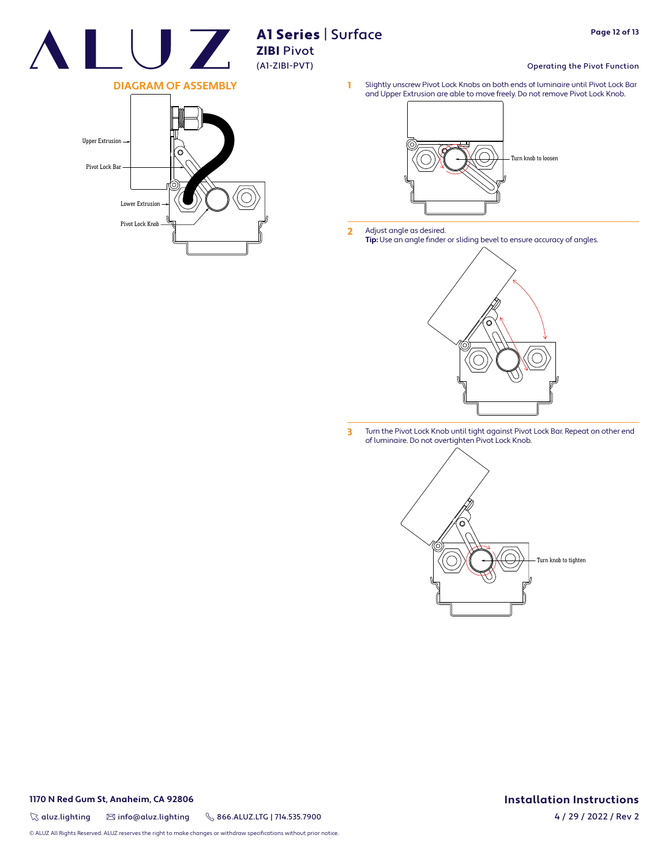

# Al Series | Surface **Example 18 AT Series** (A1-ZIBI-PVT)

#### Operating the Pivot Function

1 Slightly unscrew Pivot Lock Knobs on both ends of luminaire until Pivot Lock Bar and Upper Extrusion are able to move freely. Do not remove Pivot Lock Knob.



2 Adjust angle as desired. **Tip:** Use an angle finder or sliding bevel to ensure accuracy of angles.



3 Turn the Pivot Lock Knob until tight against Pivot Lock Bar. Repeat on other end of luminaire. Do not overtighten Pivot Lock Knob.





#### **1170 N Red Gum St, Anaheim, CA 92806 Installation Instructions**

 $\%$  aluz.lighting  $\%$  info@aluz.lighting  $\%$  866.ALUZ.LTG | 714.535.7900

4 / 29 / 2022 / Rev 2

© ALUZ All Rights Reserved. ALUZ reserves the right to make changes or withdraw specifications without prior notice.